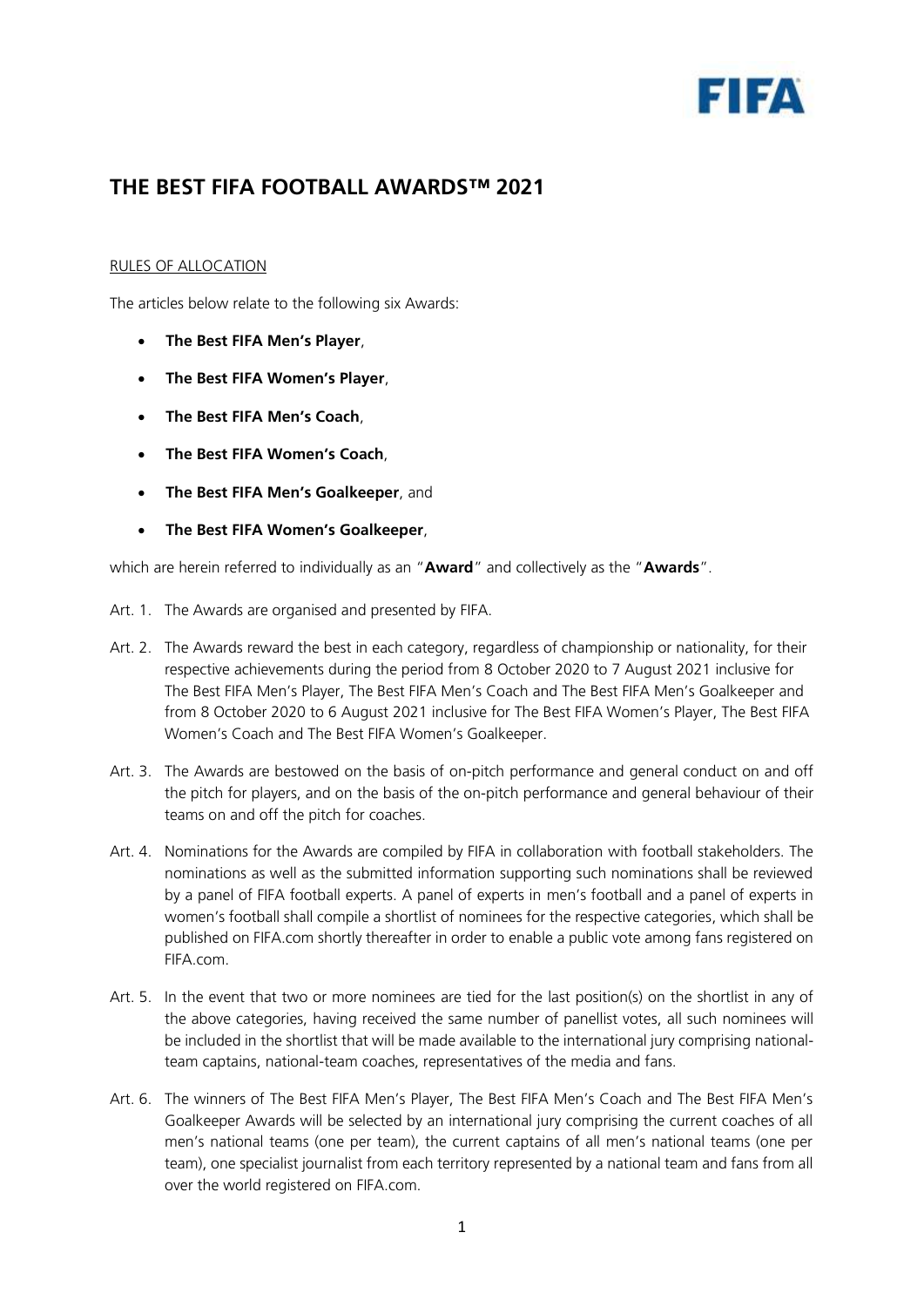

## **THE BEST FIFA FOOTBALL AWARDS™ 2021**

## RULES OF ALLOCATION

The articles below relate to the following six Awards:

- **The Best FIFA Men's Player**,
- **The Best FIFA Women's Player**,
- **The Best FIFA Men's Coach**,
- **The Best FIFA Women's Coach**,
- **The Best FIFA Men's Goalkeeper**, and
- **The Best FIFA Women's Goalkeeper**,

which are herein referred to individually as an "**Award**" and collectively as the "**Awards**".

- Art. 1. The Awards are organised and presented by FIFA.
- Art. 2. The Awards reward the best in each category, regardless of championship or nationality, for their respective achievements during the period from 8 October 2020 to 7 August 2021 inclusive for The Best FIFA Men's Player, The Best FIFA Men's Coach and The Best FIFA Men's Goalkeeper and from 8 October 2020 to 6 August 2021 inclusive for The Best FIFA Women's Player, The Best FIFA Women's Coach and The Best FIFA Women's Goalkeeper.
- Art. 3. The Awards are bestowed on the basis of on-pitch performance and general conduct on and off the pitch for players, and on the basis of the on-pitch performance and general behaviour of their teams on and off the pitch for coaches.
- Art. 4. Nominations for the Awards are compiled by FIFA in collaboration with football stakeholders. The nominations as well as the submitted information supporting such nominations shall be reviewed by a panel of FIFA football experts. A panel of experts in men's football and a panel of experts in women's football shall compile a shortlist of nominees for the respective categories, which shall be published on FIFA.com shortly thereafter in order to enable a public vote among fans registered on FIFA.com.
- Art. 5. In the event that two or more nominees are tied for the last position(s) on the shortlist in any of the above categories, having received the same number of panellist votes, all such nominees will be included in the shortlist that will be made available to the international jury comprising nationalteam captains, national-team coaches, representatives of the media and fans.
- Art. 6. The winners of The Best FIFA Men's Player, The Best FIFA Men's Coach and The Best FIFA Men's Goalkeeper Awards will be selected by an international jury comprising the current coaches of all men's national teams (one per team), the current captains of all men's national teams (one per team), one specialist journalist from each territory represented by a national team and fans from all over the world registered on FIFA.com.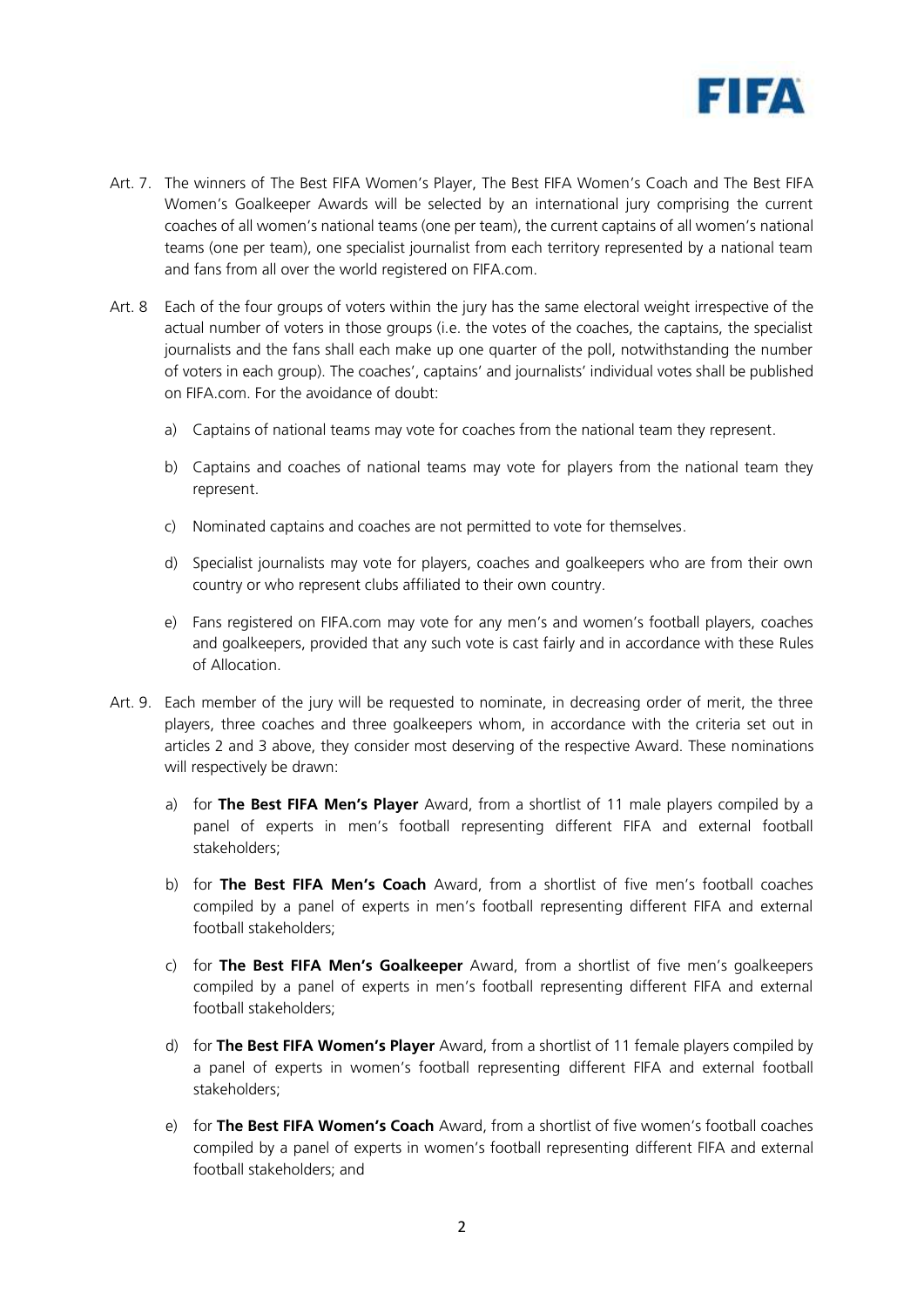

- Art. 7. The winners of The Best FIFA Women's Player, The Best FIFA Women's Coach and The Best FIFA Women's Goalkeeper Awards will be selected by an international jury comprising the current coaches of all women's national teams (one per team), the current captains of all women's national teams (one per team), one specialist journalist from each territory represented by a national team and fans from all over the world registered on FIFA.com.
- Art. 8 Each of the four groups of voters within the jury has the same electoral weight irrespective of the actual number of voters in those groups (i.e. the votes of the coaches, the captains, the specialist journalists and the fans shall each make up one quarter of the poll, notwithstanding the number of voters in each group). The coaches', captains' and journalists' individual votes shall be published on FIFA.com. For the avoidance of doubt:
	- a) Captains of national teams may vote for coaches from the national team they represent.
	- b) Captains and coaches of national teams may vote for players from the national team they represent.
	- c) Nominated captains and coaches are not permitted to vote for themselves.
	- d) Specialist journalists may vote for players, coaches and goalkeepers who are from their own country or who represent clubs affiliated to their own country.
	- e) Fans registered on FIFA.com may vote for any men's and women's football players, coaches and goalkeepers, provided that any such vote is cast fairly and in accordance with these Rules of Allocation.
- Art. 9. Each member of the jury will be requested to nominate, in decreasing order of merit, the three players, three coaches and three goalkeepers whom, in accordance with the criteria set out in articles 2 and 3 above, they consider most deserving of the respective Award. These nominations will respectively be drawn:
	- a) for **The Best FIFA Men's Player** Award, from a shortlist of 11 male players compiled by a panel of experts in men's football representing different FIFA and external football stakeholders;
	- b) for **The Best FIFA Men's Coach** Award, from a shortlist of five men's football coaches compiled by a panel of experts in men's football representing different FIFA and external football stakeholders;
	- c) for **The Best FIFA Men's Goalkeeper** Award, from a shortlist of five men's goalkeepers compiled by a panel of experts in men's football representing different FIFA and external football stakeholders;
	- d) for **The Best FIFA Women's Player** Award, from a shortlist of 11 female players compiled by a panel of experts in women's football representing different FIFA and external football stakeholders;
	- e) for **The Best FIFA Women's Coach** Award, from a shortlist of five women's football coaches compiled by a panel of experts in women's football representing different FIFA and external football stakeholders; and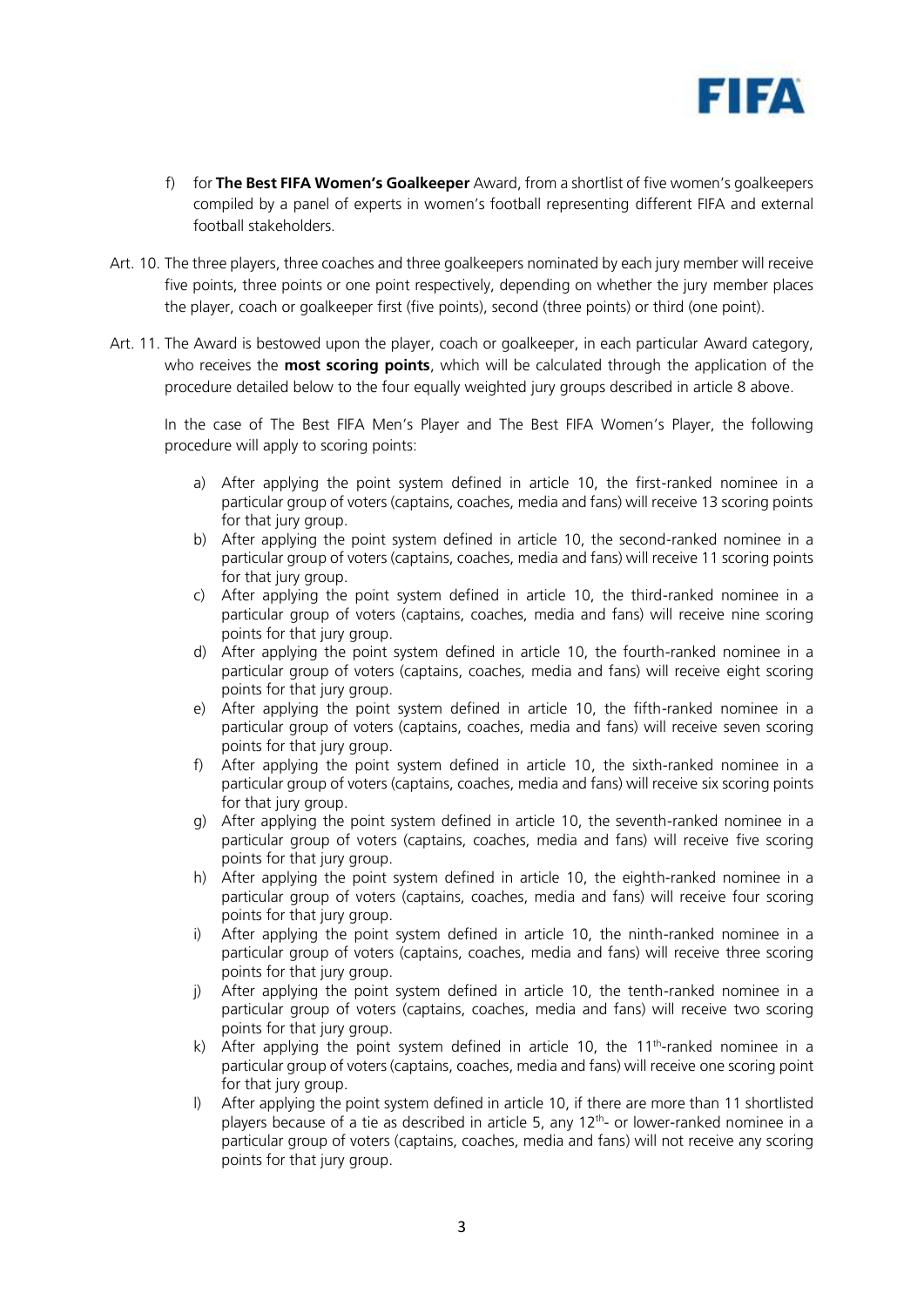

- f) for **The Best FIFA Women's Goalkeeper** Award, from a shortlist of five women's goalkeepers compiled by a panel of experts in women's football representing different FIFA and external football stakeholders.
- Art. 10. The three players, three coaches and three goalkeepers nominated by each jury member will receive five points, three points or one point respectively, depending on whether the jury member places the player, coach or goalkeeper first (five points), second (three points) or third (one point).
- Art. 11. The Award is bestowed upon the player, coach or goalkeeper, in each particular Award category, who receives the **most scoring points**, which will be calculated through the application of the procedure detailed below to the four equally weighted jury groups described in article 8 above.

In the case of The Best FIFA Men's Player and The Best FIFA Women's Player, the following procedure will apply to scoring points:

- a) After applying the point system defined in article 10, the first-ranked nominee in a particular group of voters (captains, coaches, media and fans) will receive 13 scoring points for that jury group.
- b) After applying the point system defined in article 10, the second-ranked nominee in a particular group of voters (captains, coaches, media and fans) will receive 11 scoring points for that jury group.
- c) After applying the point system defined in article 10, the third-ranked nominee in a particular group of voters (captains, coaches, media and fans) will receive nine scoring points for that jury group.
- d) After applying the point system defined in article 10, the fourth-ranked nominee in a particular group of voters (captains, coaches, media and fans) will receive eight scoring points for that jury group.
- e) After applying the point system defined in article 10, the fifth-ranked nominee in a particular group of voters (captains, coaches, media and fans) will receive seven scoring points for that jury group.
- f) After applying the point system defined in article 10, the sixth-ranked nominee in a particular group of voters (captains, coaches, media and fans) will receive six scoring points for that jury group.
- g) After applying the point system defined in article 10, the seventh-ranked nominee in a particular group of voters (captains, coaches, media and fans) will receive five scoring points for that jury group.
- h) After applying the point system defined in article 10, the eighth-ranked nominee in a particular group of voters (captains, coaches, media and fans) will receive four scoring points for that jury group.
- i) After applying the point system defined in article 10, the ninth-ranked nominee in a particular group of voters (captains, coaches, media and fans) will receive three scoring points for that jury group.
- j) After applying the point system defined in article 10, the tenth-ranked nominee in a particular group of voters (captains, coaches, media and fans) will receive two scoring points for that jury group.
- k) After applying the point system defined in article 10, the  $11<sup>th</sup>$ -ranked nominee in a particular group of voters (captains, coaches, media and fans) will receive one scoring point for that jury group.
- l) After applying the point system defined in article 10, if there are more than 11 shortlisted players because of a tie as described in article 5, any 12<sup>th</sup>- or lower-ranked nominee in a particular group of voters (captains, coaches, media and fans) will not receive any scoring points for that jury group.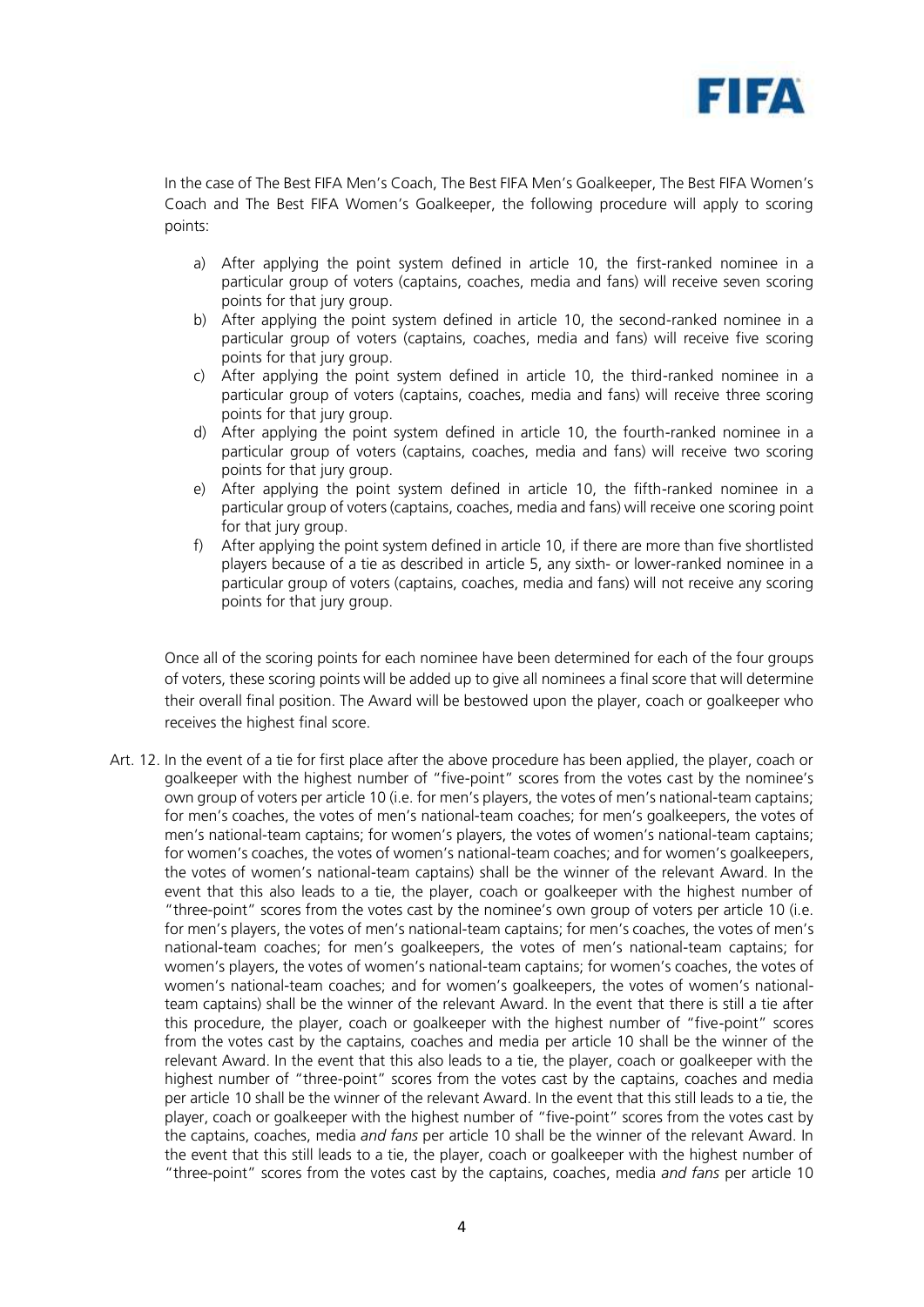

In the case of The Best FIFA Men's Coach, The Best FIFA Men's Goalkeeper, The Best FIFA Women's Coach and The Best FIFA Women's Goalkeeper, the following procedure will apply to scoring points:

- a) After applying the point system defined in article 10, the first-ranked nominee in a particular group of voters (captains, coaches, media and fans) will receive seven scoring points for that jury group.
- b) After applying the point system defined in article 10, the second-ranked nominee in a particular group of voters (captains, coaches, media and fans) will receive five scoring points for that jury group.
- c) After applying the point system defined in article 10, the third-ranked nominee in a particular group of voters (captains, coaches, media and fans) will receive three scoring points for that jury group.
- d) After applying the point system defined in article 10, the fourth-ranked nominee in a particular group of voters (captains, coaches, media and fans) will receive two scoring points for that jury group.
- e) After applying the point system defined in article 10, the fifth-ranked nominee in a particular group of voters (captains, coaches, media and fans) will receive one scoring point for that jury group.
- f) After applying the point system defined in article 10, if there are more than five shortlisted players because of a tie as described in article 5, any sixth- or lower-ranked nominee in a particular group of voters (captains, coaches, media and fans) will not receive any scoring points for that jury group.

Once all of the scoring points for each nominee have been determined for each of the four groups of voters, these scoring points will be added up to give all nominees a final score that will determine their overall final position. The Award will be bestowed upon the player, coach or goalkeeper who receives the highest final score.

Art. 12. In the event of a tie for first place after the above procedure has been applied, the player, coach or goalkeeper with the highest number of "five-point" scores from the votes cast by the nominee's own group of voters per article 10 (i.e. for men's players, the votes of men's national-team captains; for men's coaches, the votes of men's national-team coaches; for men's goalkeepers, the votes of men's national-team captains; for women's players, the votes of women's national-team captains; for women's coaches, the votes of women's national-team coaches; and for women's goalkeepers, the votes of women's national-team captains) shall be the winner of the relevant Award. In the event that this also leads to a tie, the player, coach or goalkeeper with the highest number of "three-point" scores from the votes cast by the nominee's own group of voters per article 10 (i.e. for men's players, the votes of men's national-team captains; for men's coaches, the votes of men's national-team coaches; for men's goalkeepers, the votes of men's national-team captains; for women's players, the votes of women's national-team captains; for women's coaches, the votes of women's national-team coaches; and for women's goalkeepers, the votes of women's nationalteam captains) shall be the winner of the relevant Award. In the event that there is still a tie after this procedure, the player, coach or goalkeeper with the highest number of "five-point" scores from the votes cast by the captains, coaches and media per article 10 shall be the winner of the relevant Award. In the event that this also leads to a tie, the player, coach or goalkeeper with the highest number of "three-point" scores from the votes cast by the captains, coaches and media per article 10 shall be the winner of the relevant Award. In the event that this still leads to a tie, the player, coach or goalkeeper with the highest number of "five-point" scores from the votes cast by the captains, coaches, media *and fans* per article 10 shall be the winner of the relevant Award. In the event that this still leads to a tie, the player, coach or goalkeeper with the highest number of "three-point" scores from the votes cast by the captains, coaches, media *and fans* per article 10